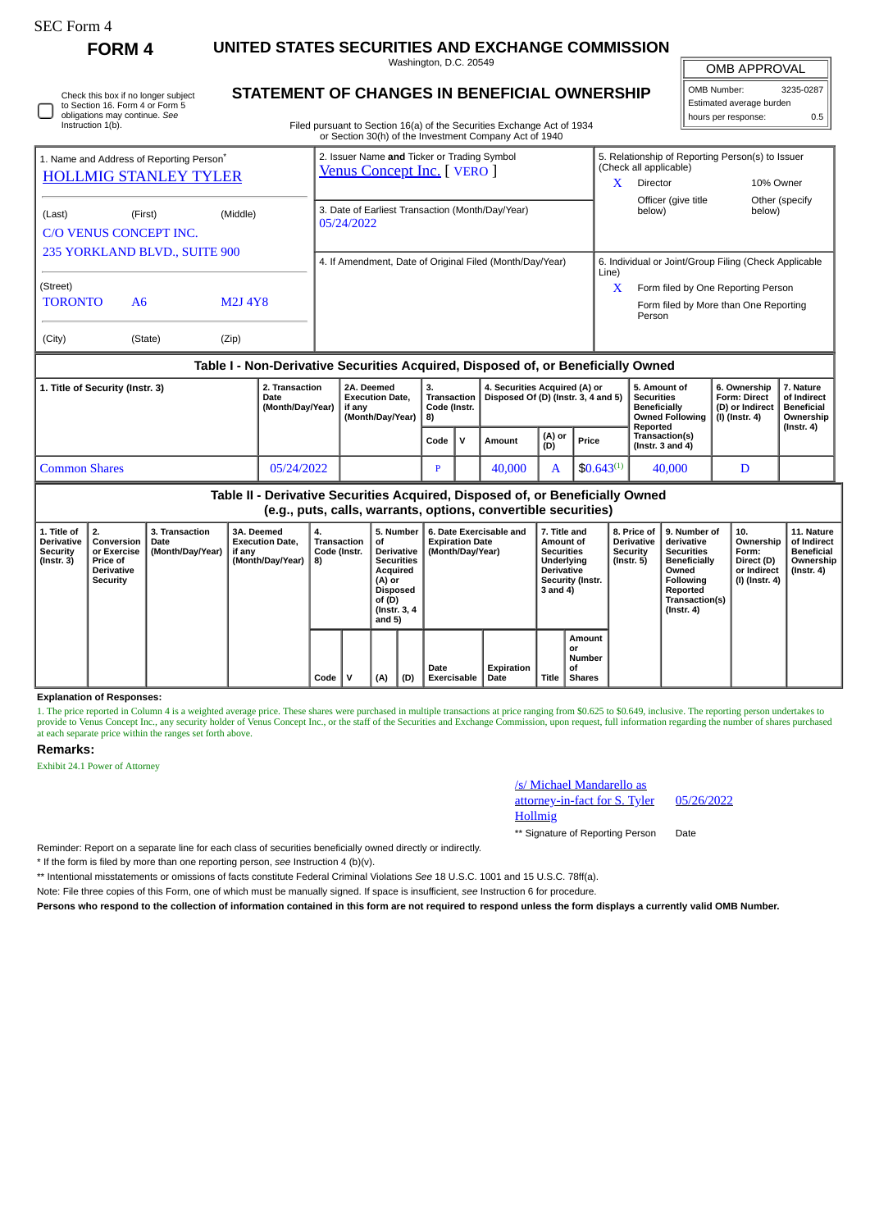# SEC Form 4

**FORM 4 UNITED STATES SECURITIES AND EXCHANGE COMMISSION** Washington, D.C. 20549

**STATEMENT OF CHANGES IN BENEFICIAL OWNERSHIP**

OMB APPROVAL

| OMB Number:              | 3235-0287 |  |  |  |  |  |  |
|--------------------------|-----------|--|--|--|--|--|--|
| Estimated average burden |           |  |  |  |  |  |  |
| hours per response:      | 0.5       |  |  |  |  |  |  |

| Instruction 1(b).                                                                    | UDILIQUUIS IIID CUILIIIUE. JEE |               |                                                                          | Filed pursuant to Section 16(a) of the Securities Exchange Act of 1934 |                                                       |                                                               |  |  |  |  |
|--------------------------------------------------------------------------------------|--------------------------------|---------------|--------------------------------------------------------------------------|------------------------------------------------------------------------|-------------------------------------------------------|---------------------------------------------------------------|--|--|--|--|
|                                                                                      |                                |               | or Section 30(h) of the Investment Company Act of 1940                   |                                                                        |                                                       |                                                               |  |  |  |  |
| 1. Name and Address of Reporting Person <sup>®</sup><br><b>HOLLMIG STANLEY TYLER</b> |                                |               | 2. Issuer Name and Ticker or Trading Symbol<br>Venus Concept Inc. [VERO] | (Check all applicable)<br>Director<br>X                                |                                                       | 5. Relationship of Reporting Person(s) to Issuer<br>10% Owner |  |  |  |  |
| (Last)<br>C/O VENUS CONCEPT INC.                                                     | (First)                        | (Middle)      | 3. Date of Earliest Transaction (Month/Day/Year)<br>05/24/2022           | below)                                                                 | Officer (give title)                                  | Other (specify)<br>below)                                     |  |  |  |  |
| 235 YORKLAND BLVD., SUITE 900                                                        |                                |               | 4. If Amendment, Date of Original Filed (Month/Day/Year)                 | Line)                                                                  | 6. Individual or Joint/Group Filing (Check Applicable |                                                               |  |  |  |  |
| (Street)                                                                             |                                |               |                                                                          | X                                                                      |                                                       | Form filed by One Reporting Person                            |  |  |  |  |
| <b>TORONTO</b>                                                                       | A6                             | <b>M2J4Y8</b> |                                                                          | Person                                                                 | Form filed by More than One Reporting                 |                                                               |  |  |  |  |
| (City)                                                                               | (State)                        | (Zip)         |                                                                          |                                                                        |                                                       |                                                               |  |  |  |  |

#### **Table I - Non-Derivative Securities Acquired, Disposed of, or Beneficially Owned**

| 1. Title of Security (Instr. 3) | 2. Transaction<br>Date<br>(Month/Dav/Year) | 2A. Deemed<br><b>Execution Date.</b><br>if anv<br>(Month/Dav/Year) | З.<br>Code (Instr.<br>8) |  | 4. Securities Acquired (A) or<br>Transaction   Disposed Of (D) (Instr. 3, 4 and 5) |               |                 | 5. Amount of<br>Securities<br>Beneficially<br><b>Owned Following</b><br>Reported | 6. Ownership<br><b>Form: Direct</b><br>(D) or Indirect<br>(I) (Instr. 4) | 7. Nature<br>of Indirect<br>Beneficial<br>Ownership<br>$($ Instr. 4 $)$ |
|---------------------------------|--------------------------------------------|--------------------------------------------------------------------|--------------------------|--|------------------------------------------------------------------------------------|---------------|-----------------|----------------------------------------------------------------------------------|--------------------------------------------------------------------------|-------------------------------------------------------------------------|
|                                 |                                            |                                                                    | Code                     |  | Amount                                                                             | (A) or<br>(D) | Price           | <b>Transaction(s)</b><br>(Instr. $3$ and $4$ )                                   |                                                                          |                                                                         |
| <b>Common Shares</b>            | 05/24/2022                                 |                                                                    |                          |  | 40,000                                                                             |               | $$0.643^{(1)}$$ | 40,000                                                                           | D                                                                        |                                                                         |

| Table II - Derivative Securities Acquired, Disposed of, or Beneficially Owned<br>(e.g., puts, calls, warrants, options, convertible securities) |                                                                   |                                            |                                                                    |                                         |  |                                                                                                                                  |     |                                                                       |                    |                                                                                                                   |                                               |                                                            |                                                                                                                                         |                                                                                     |                                                                           |
|-------------------------------------------------------------------------------------------------------------------------------------------------|-------------------------------------------------------------------|--------------------------------------------|--------------------------------------------------------------------|-----------------------------------------|--|----------------------------------------------------------------------------------------------------------------------------------|-----|-----------------------------------------------------------------------|--------------------|-------------------------------------------------------------------------------------------------------------------|-----------------------------------------------|------------------------------------------------------------|-----------------------------------------------------------------------------------------------------------------------------------------|-------------------------------------------------------------------------------------|---------------------------------------------------------------------------|
| 1. Title of<br><b>Derivative</b><br>Security<br>(Instr. 3)                                                                                      | Conversion<br>or Exercise<br>i Price of<br>Derivative<br>Security | 3. Transaction<br>Date<br>(Month/Day/Year) | 3A. Deemed<br><b>Execution Date.</b><br>if any<br>(Month/Day/Year) | 4.<br>Transaction<br>Code (Instr.<br>8) |  | 5. Number<br>οt<br><b>Derivative</b><br><b>Securities</b><br>Acquired<br>(A) or<br>Disposed<br>of (D)<br>(Instr. 3, 4)<br>and 5) |     | 6. Date Exercisable and<br><b>Expiration Date</b><br>(Month/Dav/Year) |                    | 7. Title and<br>Amount of<br><b>Securities</b><br>Underlying<br><b>Derivative</b><br>Security (Instr.<br>3 and 4) |                                               | 8. Price of<br><b>Derivative</b><br>Security<br>(Instr. 5) | 9. Number of<br>derivative<br><b>Securities</b><br>Beneficially<br>Owned<br>Following<br>Reported<br>Transaction(s)<br>$($ Instr. 4 $)$ | $^{\circ}$ 10.<br>Ownership<br>Form:<br>Direct (D)<br>or Indirect<br>(I) (Instr. 4) | 11. Nature<br>of Indirect<br><b>Beneficial</b><br>Ownership<br>(Instr. 4) |
|                                                                                                                                                 |                                                                   |                                            |                                                                    | Code                                    |  | (A)                                                                                                                              | (D) | Date<br><b>Exercisable</b>                                            | Expiration<br>Date | Title                                                                                                             | Amount<br>or<br>Number<br>οf<br><b>Shares</b> |                                                            |                                                                                                                                         |                                                                                     |                                                                           |

#### **Explanation of Responses:**

1. The price reported in Column 4 is a weighted average price. These shares were purchased in multiple transactions at price ranging from \$0.625 to \$0.649, inclusive. The reporting person undertakes to provide to Venus Con

#### **Remarks:**

Exhibit 24.1 Power of Attorney

## /s/ Michael Mandarello as attorney-in-fact for S. Tyler Hollmig

05/26/2022

\*\* Signature of Reporting Person Date

Reminder: Report on a separate line for each class of securities beneficially owned directly or indirectly.

\* If the form is filed by more than one reporting person, *see* Instruction 4 (b)(v).

\*\* Intentional misstatements or omissions of facts constitute Federal Criminal Violations *See* 18 U.S.C. 1001 and 15 U.S.C. 78ff(a).

Note: File three copies of this Form, one of which must be manually signed. If space is insufficient, *see* Instruction 6 for procedure.

**Persons who respond to the collection of information contained in this form are not required to respond unless the form displays a currently valid OMB Number.**

Check this box if no longer subject to Section 16. Form 4 or Form 5 obligations may continue. *See* Instruction 1(b).